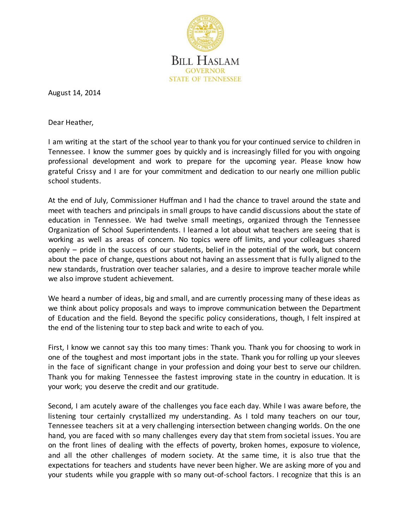

August 14, 2014

Dear Heather,

I am writing at the start of the school year to thank you for your continued service to children in Tennessee. I know the summer goes by quickly and is increasingly filled for you with ongoing professional development and work to prepare for the upcoming year. Please know how grateful Crissy and I are for your commitment and dedication to our nearly one million public school students.

At the end of July, Commissioner Huffman and I had the chance to travel around the state and meet with teachers and principals in small groups to have candid discussions about the state of education in Tennessee. We had twelve small meetings, organized through the Tennessee Organization of School Superintendents. I learned a lot about what teachers are seeing that is working as well as areas of concern. No topics were off limits, and your colleagues shared openly – pride in the success of our students, belief in the potential of the work, but concern about the pace of change, questions about not having an assessment that is fully aligned to the new standards, frustration over teacher salaries, and a desire to improve teacher morale while we also improve student achievement.

We heard a number of ideas, big and small, and are currently processing many of these ideas as we think about policy proposals and ways to improve communication between the Department of Education and the field. Beyond the specific policy considerations, though, I felt inspired at the end of the listening tour to step back and write to each of you.

First, I know we cannot say this too many times: Thank you. Thank you for choosing to work in one of the toughest and most important jobs in the state. Thank you for rolling up your sleeves in the face of significant change in your profession and doing your best to serve our children. Thank you for making Tennessee the fastest improving state in the country in education. It is your work; you deserve the credit and our gratitude.

Second, I am acutely aware of the challenges you face each day. While I was aware before, the listening tour certainly crystallized my understanding. As I told many teachers on our tour, Tennessee teachers sit at a very challenging intersection between changing worlds. On the one hand, you are faced with so many challenges every day that stem from societal issues. You are on the front lines of dealing with the effects of poverty, broken homes, exposure to violence, and all the other challenges of modern society. At the same time, it is also true that the expectations for teachers and students have never been higher. We are asking more of you and your students while you grapple with so many out-of-school factors. I recognize that this is an